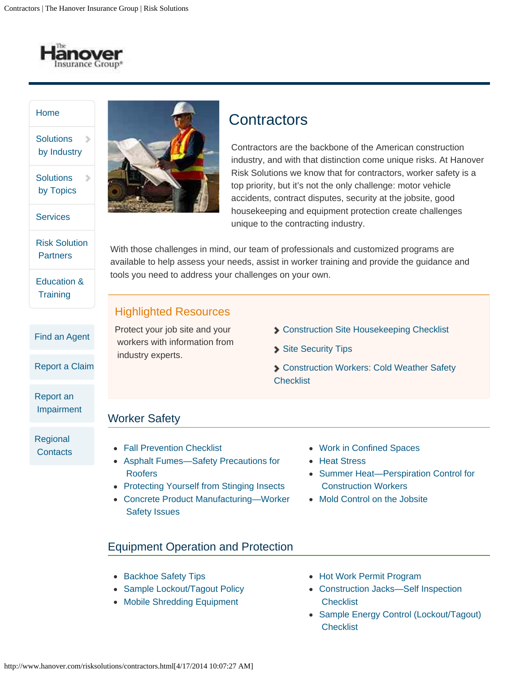

 $\,$ 

#### [Home](http://www.hanover.com/risksolutions/index.html)

**Solutions**  $\mathcal{D}$ by Industry

**Solutions** by Topics

**[Services](http://www.hanover.com/risksolutions/services.html)** 

[Risk Solution](http://www.hanover.com/risksolutions/partners.html) **Partners** 

[Education &](http://www.hanover.com/risksolutions/education.html) **Training** 

[Find an Agent](http://findanagent.hanover.com/FindAnAgent)

[Report a Claim](http://www.hanover.com/claims.html)

[Report an](http://secure.hanoverrisksolutions.com/impairmentReport.action)  [Impairment](http://secure.hanoverrisksolutions.com/impairmentReport.action)

[Regional](http://www.hanover.com/risksolutions/contacts.html) **Contacts** 



# **Contractors**

Contractors are the backbone of the American construction industry, and with that distinction come unique risks. At Hanover Risk Solutions we know that for contractors, worker safety is a top priority, but it's not the only challenge: motor vehicle accidents, contract disputes, security at the jobsite, good housekeeping and equipment protection create challenges unique to the contracting industry.

With those challenges in mind, our team of professionals and customized programs are available to help assess your needs, assist in worker training and provide the guidance and tools you need to address your challenges on your own.

#### Highlighted Resources

Protect your job site and your workers with information from industry experts.

- **SCONSTRUCTION Site Housekeeping Checklist**
- [Site Security Tips](http://www.hanover.com/risksolutions/construction-site-security-tips.html)
- [Construction Workers: Cold Weather Safety](http://www.hanover.com/risksolutions/construction-workers-cold-weather-safety-checklist.html) **Checklist**

# Worker Safety

- [Fall Prevention Checklist](http://www.hanover.com/risksolutions/fall-prevention-checklist.html)
- [Asphalt Fumes—Safety Precautions for](http://www.hanover.com/risksolutions/pdf/171-0831.pdf)  [Roofers](http://www.hanover.com/risksolutions/pdf/171-0831.pdf)
- [Protecting Yourself from Stinging Insects](http://www.hanover.com/risksolutions/pdf/171-0870.pdf)
- [Concrete Product Manufacturing—Worker](http://www.hanover.com/risksolutions/pdf/171-0898.pdf)  [Safety Issues](http://www.hanover.com/risksolutions/pdf/171-0898.pdf)
- [Work in Confined Spaces](http://www.hanover.com/risksolutions/pdf/171-0938.pdf)
- [Heat Stress](http://www.hanover.com/risksolutions/pdf/171-0988.pdf)
- Summer Heat-Perspiration Control for  [Construction Workers](http://www.hanover.com/risksolutions/pdf/171-1036.pdf)
- [Mold Control on the Jobsite](http://www.hanover.com/risksolutions/pdf/171-0974.pdf)

# Equipment Operation and Protection

- [Backhoe Safety Tips](http://www.hanover.com/risksolutions/backhoe-safety.html)
- [Sample Lockout/Tagout Policy](http://www.hanover.com/risksolutions/sample-lockout-tagout-policy.html)
- [Mobile Shredding Equipment](http://www.hanover.com/risksolutions/mobile-equipment.html)
- [Hot Work Permit Program](http://www.hanover.com/risksolutions/hot-work-permit-program.html)
- [Construction Jacks—Self Inspection](http://www.hanover.com/risksolutions/pdf/171-0840.pdf) **Checklist**
- [Sample Energy Control \(Lockout/Tagout\)](http://www.hanover.com/risksolutions/pdf/171-0958.pdf) **Checklist**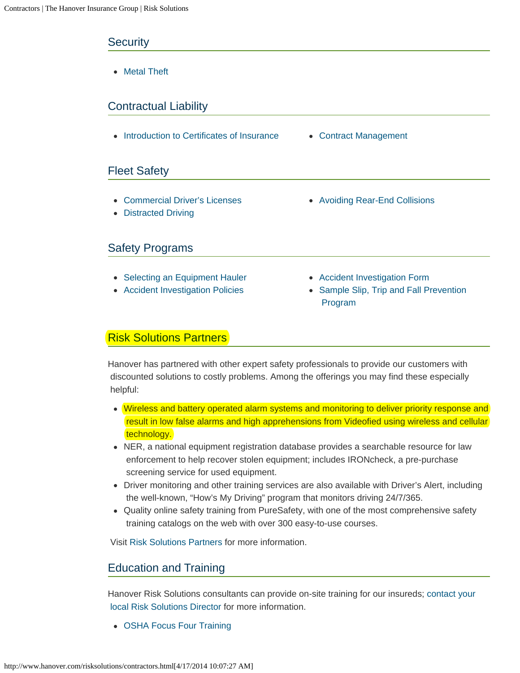#### **Security**

[Metal Theft](http://www.hanover.com/risksolutions/pdf/171-0976.pdf)

### Contractual Liability

• [Introduction to Certificates of Insurance](http://www.hanover.com/risksolutions/introduction-to-certificates-of-insurance.html) • [Contract Management](http://www.hanover.com/risksolutions/contract-management.html)

#### Fleet Safety

- [Commercial Driver's Licenses](http://www.hanover.com/risksolutions/commercial-drivers-licenses.html)
- [Distracted Driving](http://www.hanover.com/risksolutions/distracted-driving.html)

### Safety Programs

- [Selecting an Equipment Hauler](http://www.hanover.com/risksolutions/selecting-an-equipment-hauler.html)
- [Accident Investigation Policies](http://www.hanover.com/risksolutions/accident-investigation-policies.html)
- 
- [Avoiding Rear-End Collisions](http://www.hanover.com/risksolutions/avoiding-rear-end-collisions.html)
- [Accident Investigation Form](http://www.hanover.com/risksolutions/pdf/171-0830.pdf)
- [Sample Slip, Trip and Fall Prevention](http://www.hanover.com/risksolutions/pdf/171-0954.pdf)  [Program](http://www.hanover.com/risksolutions/pdf/171-0954.pdf)

#### Risk Solutions Partners

Hanover has partnered with other expert safety professionals to provide our customers with discounted solutions to costly problems. Among the offerings you may find these especially helpful:

- Wireless and battery operated alarm systems and monitoring to deliver priority response and result in low false alarms and high apprehensions from Videofied using wireless and cellular technology.
- NER, a national equipment registration database provides a searchable resource for law enforcement to help recover stolen equipment; includes IRONcheck, a pre-purchase screening service for used equipment.
- Driver monitoring and other training services are also available with Driver's Alert, including the well-known, "How's My Driving" program that monitors driving 24/7/365.
- Quality online safety training from PureSafety, with one of the most comprehensive safety training catalogs on the web with over 300 easy-to-use courses.

Visit [Risk Solutions Partners](http://www.hanover.com/risksolutions/partners.html) for more information.

#### Education and Training

Hanover Risk Solutions consultants can provide on-site training for our insureds; [contact your](http://www.hanover.com/risksolutions/contacts.html)  [local Risk Solutions Director](http://www.hanover.com/risksolutions/contacts.html) for more information.

[OSHA Focus Four Training](http://www.osha.gov/dte/outreach/construction/focus_four/index.html)